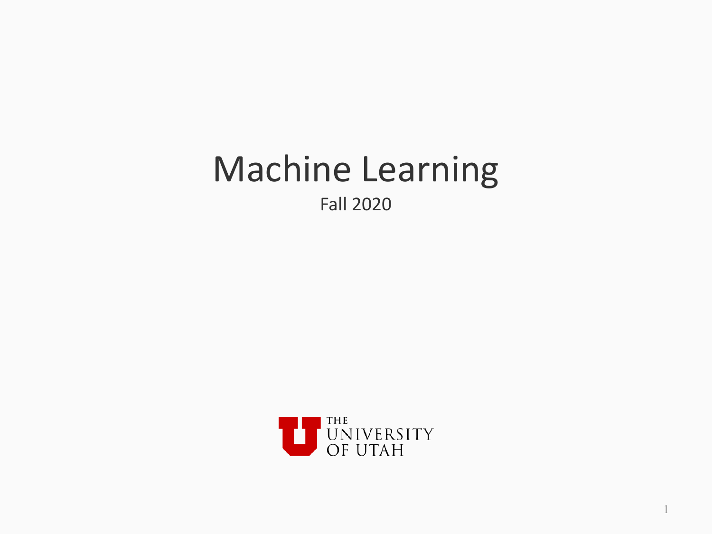### **Machine Learning** Fall 2020

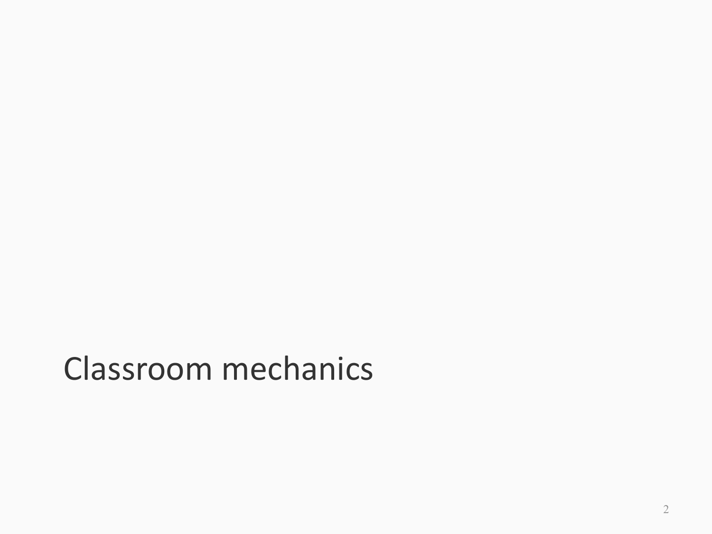## Classroom mechanics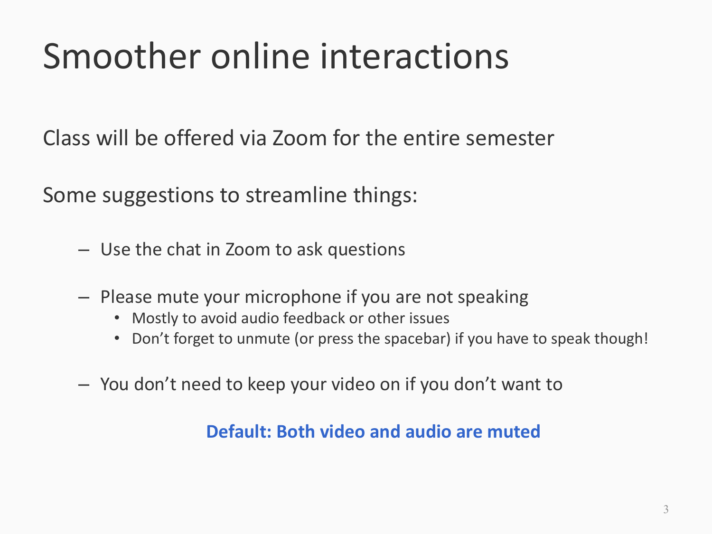# Smoother online interactions

Class will be offered via Zoom for the entire semester

Some suggestions to streamline things:

- $-$  Use the chat in Zoom to ask questions
- $-$  Please mute your microphone if you are not speaking
	- Mostly to avoid audio feedback or other issues
	- Don't forget to unmute (or press the spacebar) if you have to speak though!
- $-$  You don't need to keep your video on if you don't want to

#### **Default: Both video and audio are muted**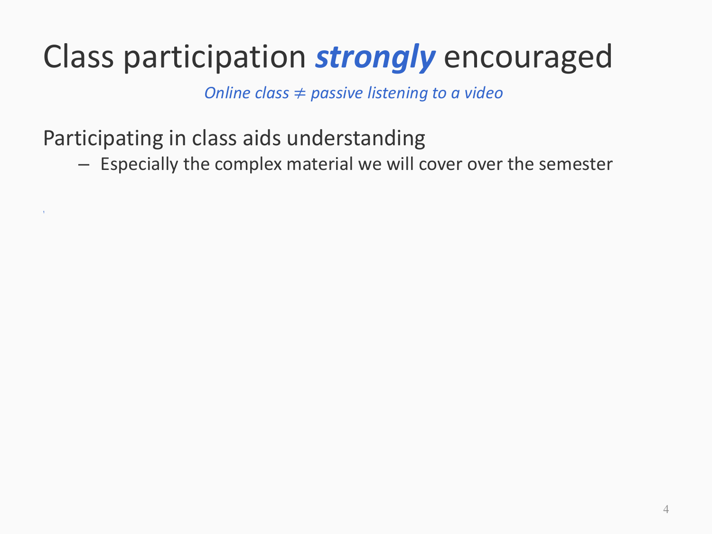*Online class*  $\neq$  *passive listening to a video* 

Participating in class aids understanding

 $\mathcal{W}$  and  $\mathcal{W}$  are the set of  $\mathcal{W}$  and  $\mathcal{W}$  are the set of  $\mathcal{W}$ 

- Especially the complex material we will cover over the semester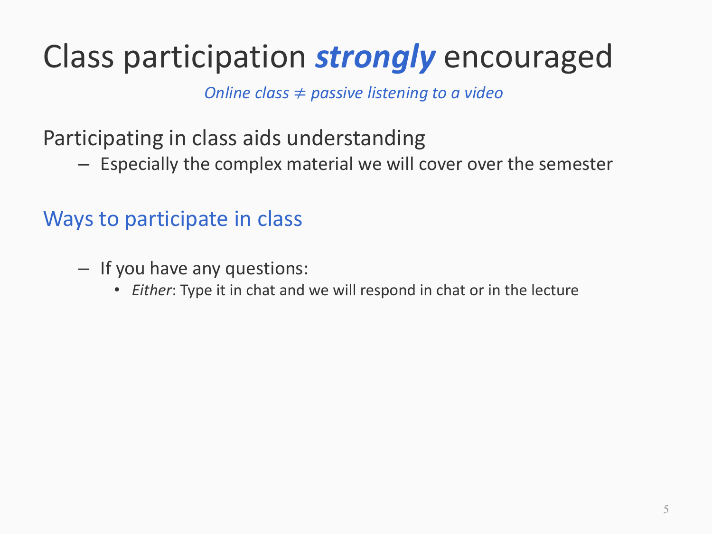*Online class*  $\neq$  *passive listening to a video* 

Participating in class aids understanding

- Especially the complex material we will cover over the semester

### Ways to participate in class

- $-$  If you have any questions:
	- *Either*: Type it in chat and we will respond in chat or in the lecture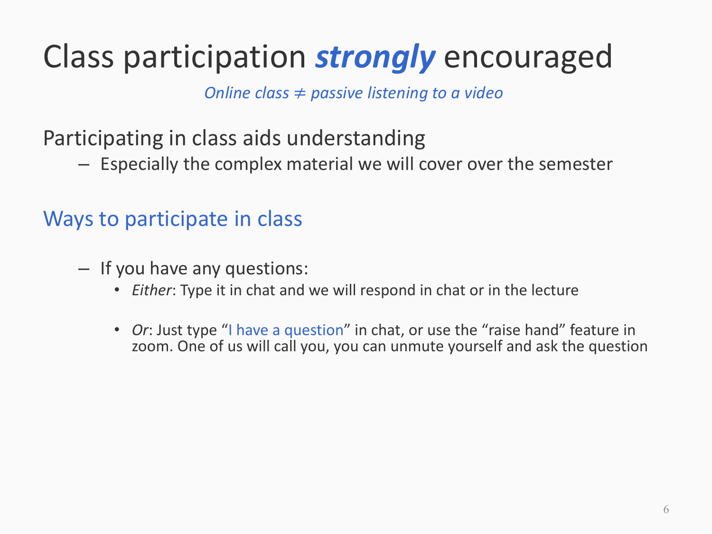*Online class*  $\neq$  *passive listening to a video* 

Participating in class aids understanding

 $-$  Especially the complex material we will cover over the semester

#### Ways to participate in class

- $-$  If you have any questions:
	- *Either*: Type it in chat and we will respond in chat or in the lecture
	- *Or*: Just type "I have a question" in chat, or use the "raise hand" feature in zoom. One of us will call you, you can unmute yourself and ask the question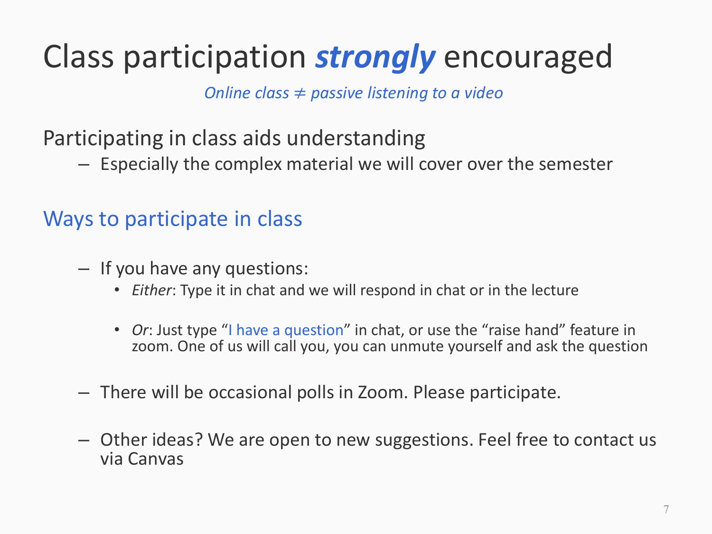*Online class*  $\neq$  *passive listening to a video* 

Participating in class aids understanding

 $-$  Especially the complex material we will cover over the semester

#### Ways to participate in class

- $-$  If you have any questions:
	- *Either*: Type it in chat and we will respond in chat or in the lecture
	- *Or*: Just type "I have a question" in chat, or use the "raise hand" feature in zoom. One of us will call you, you can unmute yourself and ask the question
- $-$  There will be occasional polls in Zoom. Please participate.
- $-$  Other ideas? We are open to new suggestions. Feel free to contact us via Canvas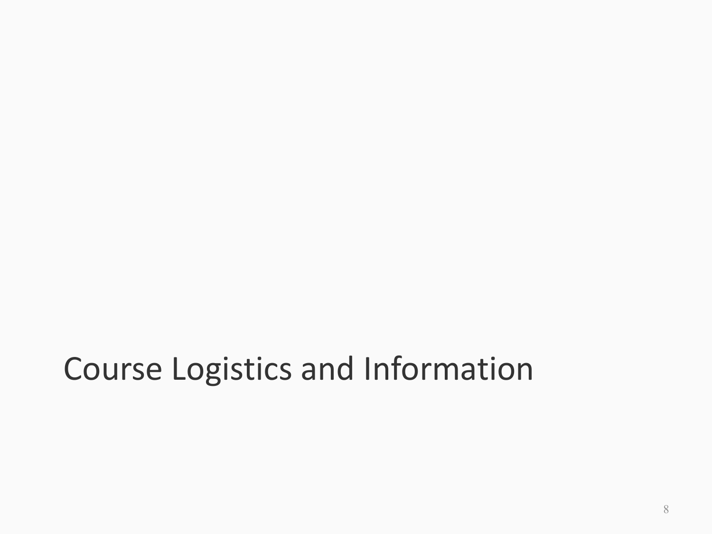## Course Logistics and Information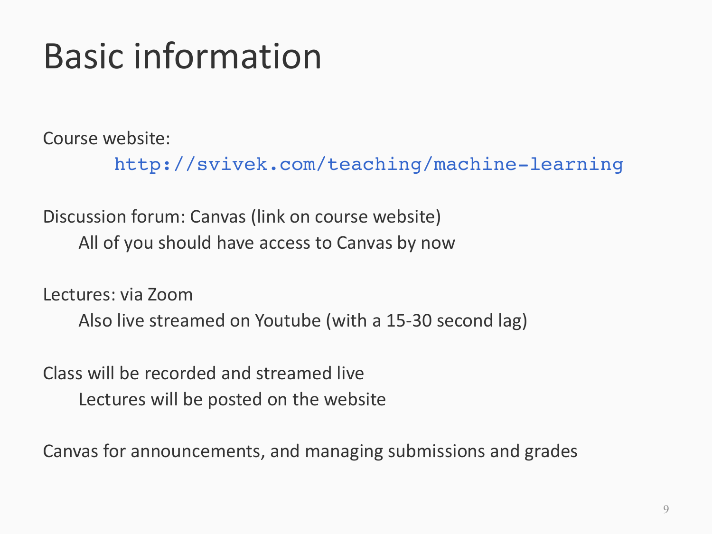# Basic information

Course website:

http://svivek.com/teaching/machine-learning

Discussion forum: Canvas (link on course website) All of you should have access to Canvas by now

Lectures: via Zoom Also live streamed on Youtube (with a 15-30 second lag)

Class will be recorded and streamed live Lectures will be posted on the website

Canvas for announcements, and managing submissions and grades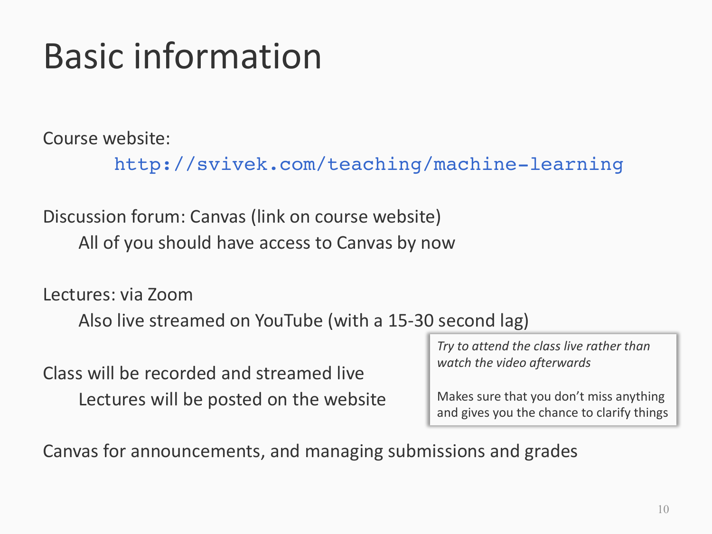# Basic information

Course website:

http://svivek.com/teaching/machine-learning

Discussion forum: Canvas (link on course website) All of you should have access to Canvas by now

Lectures: via Zoom

Also live streamed on YouTube (with a 15-30 second lag)

Class will be recorded and streamed live Lectures will be posted on the website Try to attend the class live rather than *watch the video afterwards*

Makes sure that you don't miss anything and gives you the chance to clarify things

Canvas for announcements, and managing submissions and grades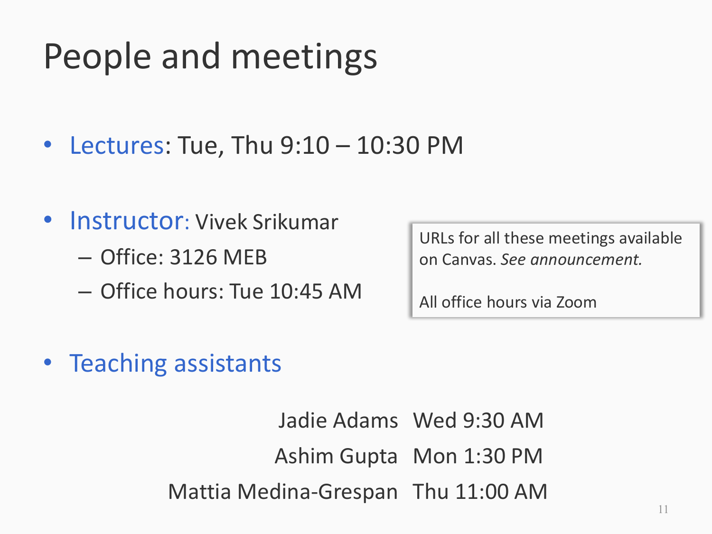# People and meetings

- Lectures: Tue, Thu  $9:10 10:30$  PM
- Instructor: Vivek Srikumar  $-$  Office: 3126 MEB
	- Office hours: Tue 10:45 AM

URLs for all these meetings available on Canvas. *See announcement.*

All office hours via Zoom

• Teaching assistants

Jadie Adams Wed 9:30 AM Ashim Gupta Mon 1:30 PM Mattia Medina-Grespan Thu 11:00 AM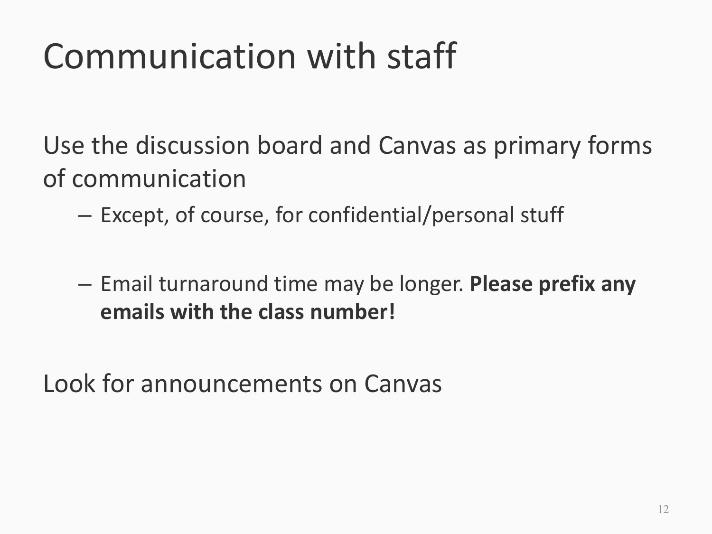# Communication with staff

Use the discussion board and Canvas as primary forms of communication

- $-$  Except, of course, for confidential/personal stuff
- $-$  Email turnaround time may be longer. **Please prefix any emails with the class number!**

Look for announcements on Canvas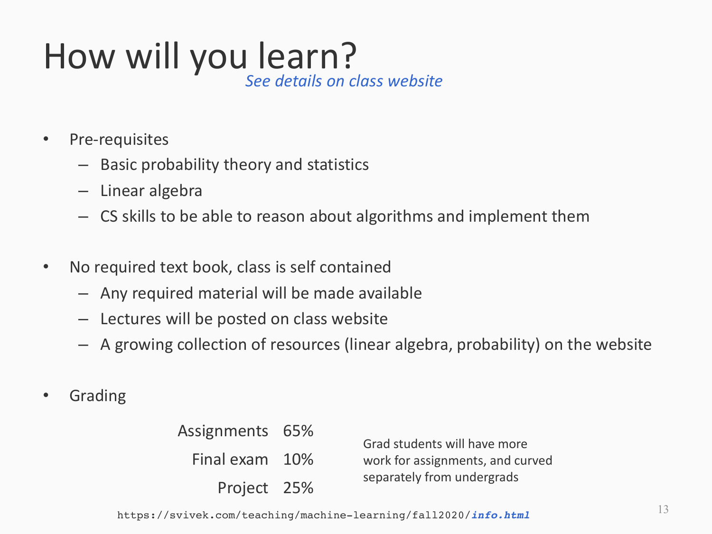### How will you learn? *See details on class website*

- Pre-requisites
	- $-$  Basic probability theory and statistics
	- $-$  Linear algebra
	- $-$  CS skills to be able to reason about algorithms and implement them
- No required text book, class is self contained
	- $-$  Any required material will be made available
	- $-$  Lectures will be posted on class website
	- $-$  A growing collection of resources (linear algebra, probability) on the website
- **Grading**

| Assignments 65% |  | Grad students will have more<br>work for assignments, and curved<br>separately from undergrads |
|-----------------|--|------------------------------------------------------------------------------------------------|
| Final exam 10%  |  |                                                                                                |
| Project 25%     |  |                                                                                                |

https://svivek.com/teaching/machine-learning/fall2020/*info.html*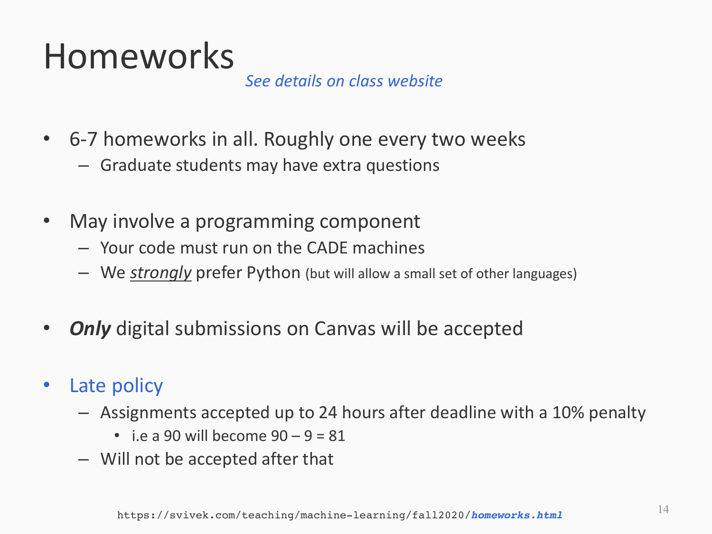## Homeworks

*See details on class website*

- 6-7 homeworks in all. Roughly one every two weeks
	- $-$  Graduate students may have extra questions
- May involve a programming component
	- $-$  Your code must run on the CADE machines
	- We *strongly* prefer Python (but will allow a small set of other languages)
- *Only* digital submissions on Canvas will be accepted
- Late policy
	- $-$  Assignments accepted up to 24 hours after deadline with a 10% penalty
		- i.e a 90 will become  $90 9 = 81$
	- $-$  Will not be accepted after that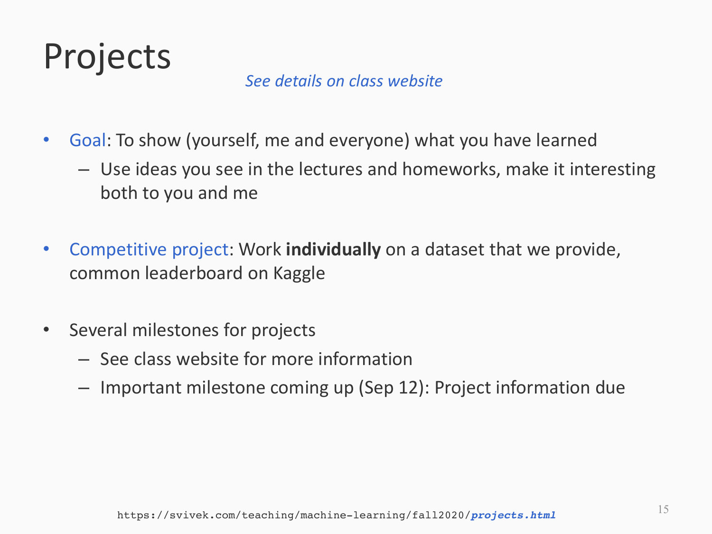

#### *See details on class website*

- Goal: To show (yourself, me and everyone) what you have learned
	- $-$  Use ideas you see in the lectures and homeworks, make it interesting both to you and me
- Competitive project: Work **individually** on a dataset that we provide, common leaderboard on Kaggle
- Several milestones for projects
	- $-$  See class website for more information
	- $-$  Important milestone coming up (Sep 12): Project information due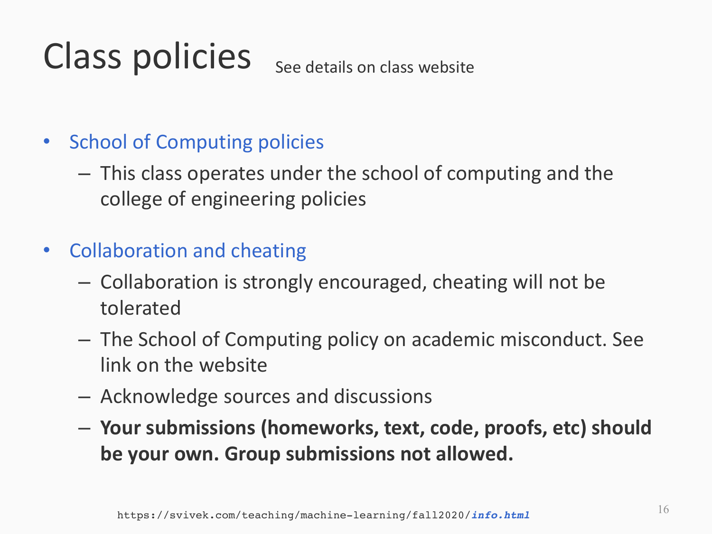#### Class policies See details on class website

### • School of Computing policies

- $-$  This class operates under the school of computing and the college of engineering policies
- Collaboration and cheating
	- $-$  Collaboration is strongly encouraged, cheating will not be tolerated
	- $-$  The School of Computing policy on academic misconduct. See link on the website
	- $-$  Acknowledge sources and discussions
	- $-$  Your submissions (homeworks, text, code, proofs, etc) should be your own. Group submissions not allowed.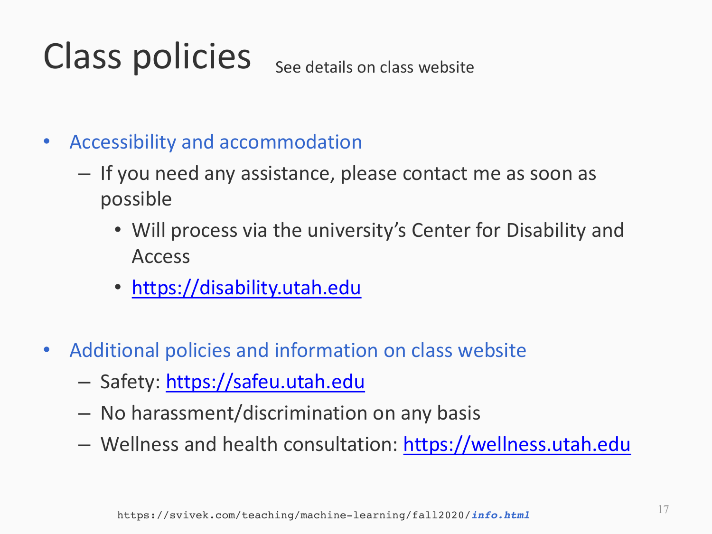#### Class policies See details on class website

- Accessibility and accommodation
	- $-$  If you need any assistance, please contact me as soon as possible
		- Will process via the university's Center for Disability and Access
		- https://disability.utah.edu
- Additional policies and information on class website
	- Safety: https://safeu.utah.edu
	- $-$  No harassment/discrimination on any basis
	- Wellness and health consultation: https://wellness.utah.edu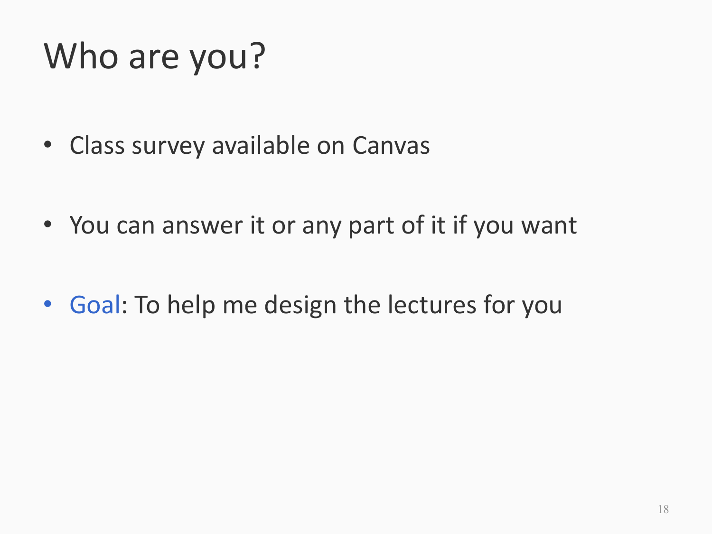# Who are you?

- Class survey available on Canvas
- You can answer it or any part of it if you want
- Goal: To help me design the lectures for you